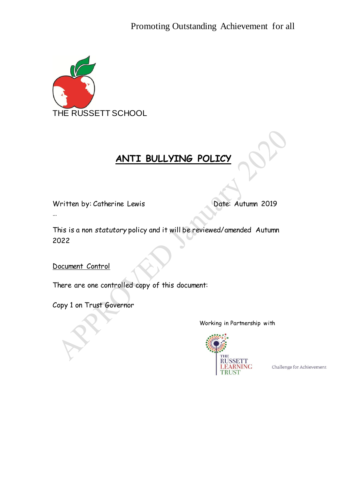

# **ANTI BULLYING POLICY**

Written by: Catherine Lewis Date: Autumn 2019

This is a non *statutory* policy and it will be reviewed/amended Autumn 2022

Document Control

…

There are one controlled copy of this document:

Copy 1 on Trust Governor



Working in Partnership with



Challenge for Achievement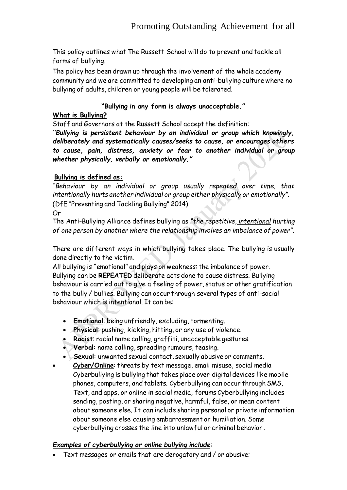This policy outlines what The Russett School will do to prevent and tackle all forms of bullying.

The policy has been drawn up through the involvement of the whole academy community and we are committed to developing an anti-bullying culture where no bullying of adults, children or young people will be tolerated.

#### **"Bullying in any form is always unacceptable."**

#### **What is Bullying?**

Staff and Governors at the Russett School accept the definition:

*"Bullying is persistent behaviour by an individual or group which knowingly, deliberately and systematically causes/seeks to cause, or encourages others to cause, pain, distress, anxiety or fear to another individual or group whether physically, verbally or emotionally."*

#### **Bullying is defined as:**

*"Behaviour by an individual or group usually repeated over time, that intentionally hurts another individual or group either physically or emotionally".* (DfE "Preventing and Tackling Bullying" 2014)

Or

The Anti-Bullying Alliance defines bullying as *"the repetitive, intentional hurting of one person by another where the relationship involves an imbalance of power".*

There are different ways in which bullying takes place. The bullying is usually done directly to the victim.

All bullying is "emotional" and plays on weakness: the imbalance of power. Bullying can be **REPEATED** deliberate acts done to cause distress. Bullying behaviour is carried out to give a feeling of power, status or other gratification to the bully / bullies. Bullying can occur through several types of anti-social behaviour which is intentional. It can be:

- **Emotional**: being unfriendly, excluding, tormenting.
- **Physical**: pushing, kicking, hitting, or any use of violence.
- **Racist**: racial name calling, graffiti, unacceptable gestures.
- **Verbal**: name calling, spreading rumours, teasing.
- **Sexual**: unwanted sexual contact, sexually abusive or comments.
- **Cyber/Online**: threats by text message, email misuse, social media Cyberbullying is bullying that takes place over digital devices like mobile phones, computers, and tablets. Cyberbullying can occur through SMS, Text, and apps, or online in social media, forums Cyberbullying includes sending, posting, or sharing negative, harmful, false, or mean content about someone else. It can include sharing personal or private information about someone else causing embarrassment or humiliation. Some cyberbullying crosses the line into unlawful or criminal behavior**.**

#### *Examples of cyberbullying or online bullying include:*

Text messages or emails that are derogatory and / or abusive;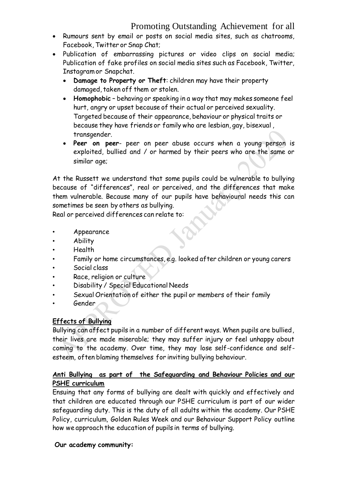- Rumours sent by email or posts on social media sites, such as chatrooms, Facebook, Twitter or Snap Chat;
- Publication of embarrassing pictures or video clips on social media; Publication of fake profiles on social media sites such as Facebook, Twitter, Instagram or Snapchat.
	- **Damage to Property or Theft**: children may have their property damaged, taken off them or stolen.
	- **Homophobic** behaving or speaking in a way that may makes someone feel hurt, angry or upset because of their actual or perceived sexuality. Targeted because of their appearance, behaviour or physical traits or because they have friends or family who are lesbian, gay, bisexual , transgender.
	- **Peer on peer** peer on peer abuse occurs when a young person is exploited, bullied and / or harmed by their peers who are the same or similar age;

At the Russett we understand that some pupils could be vulnerable to bullying because of "differences", real or perceived, and the differences that make them vulnerable. Because many of our pupils have behavioural needs this can sometimes be seen by others as bullying.

Real or perceived differences can relate to:

- Appearance
- Ability
- Health
- Family or home circumstances, e.g. looked after children or young carers
- Social class
- Race, religion or culture
- Disability / Special Educational Needs
- Sexual Orientation of either the pupil or members of their family
- Gender

#### **Effects of Bullying**

Bullying can affect pupils in a number of different ways. When pupils are bullied, their lives are made miserable; they may suffer injury or feel unhappy about coming to the academy. Over time, they may lose self-confidence and selfesteem, often blaming themselves for inviting bullying behaviour.

#### **Anti Bullying as part of the Safeguarding and Behaviour Policies and our PSHE curriculum**

Ensuing that any forms of bullying are dealt with quickly and effectively and that children are educated through our PSHE curriculum is part of our wider safeguarding duty. This is the duty of all adults within the academy. Our PSHE Policy, curriculum, Golden Rules Week and our Behaviour Support Policy outline how we approach the education of pupils in terms of bullying.

#### **Our academy community:**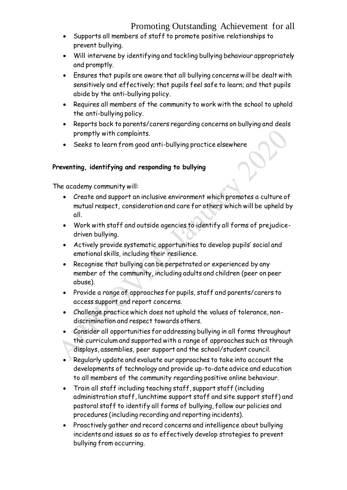- Supports all members of staff to promote positive relationships to prevent bullying.
- Will intervene by identifying and tackling bullying behaviour appropriately and promptly.
- Ensures that pupils are aware that all bullying concerns will be dealt with sensitively and effectively; that pupils feel safe to learn; and that pupils abide by the anti-bullying policy.
- Requires all members of the community to work with the school to uphold the anti-bullying policy.
- Reports back to parents/carers regarding concerns on bullying and deals promptly with complaints.
- Seeks to learn from good anti-bullying practice elsewhere

#### **Preventing, identifying and responding to bullying**

The academy community will:

- Create and support an inclusive environment which promotes a culture of mutual respect, consideration and care for others which will be upheld by all.
- Work with staff and outside agencies to identify all forms of prejudicedriven bullying.
- Actively provide systematic opportunities to develop pupils' social and emotional skills, including their resilience.
- Recognise that bullying can be perpetrated or experienced by any member of the community, including adults and children (peer on peer abuse).
- Provide a range of approaches for pupils, staff and parents/carers to access support and report concerns.
- Challenge practice which does not uphold the values of tolerance, nondiscrimination and respect towards others.
- Consider all opportunities for addressing bullying in all forms throughout the curriculum and supported with a range of approaches such as through displays, assemblies, peer support and the school/student council.
- Regularly update and evaluate our approaches to take into account the developments of technology and provide up-to-date advice and education to all members of the community regarding positive online behaviour.
- Train all staff including teaching staff, support staff (including administration staff, lunchtime support staff and site support staff) and pastoral staff to identify all forms of bullying, follow our policies and procedures (including recording and reporting incidents).
- Proactively gather and record concerns and intelligence about bullying incidents and issues so as to effectively develop strategies to prevent bullying from occurring.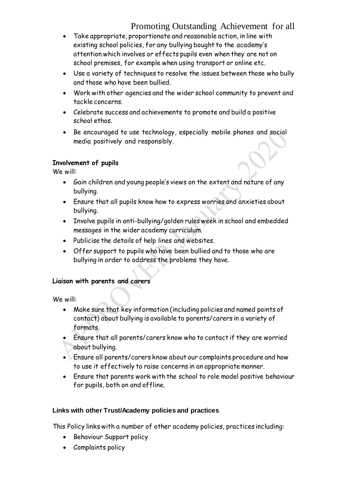- Take appropriate, proportionate and reasonable action, in line with existing school policies, for any bullying bought to the academy's attention which involves or effects pupils even when they are not on school premises, for example when using transport or online etc.
- Use a variety of techniques to resolve the issues between those who bully and those who have been bullied.
- Work with other agencies and the wider school community to prevent and tackle concerns.
- Celebrate success and achievements to promote and build a positive school ethos.
- Be encouraged to use technology, especially mobile phones and social media positively and responsibly.

#### **Involvement of pupils**

We will:

- Gain children and young people's views on the extent and nature of any bullying.
- Ensure that all pupils know how to express worries and anxieties about bullying.
- Involve pupils in anti-bullying/golden rules week in school and embedded messages in the wider academy curriculum.
- Publicise the details of help lines and websites.
- Offer support to pupils who have been bullied and to those who are bullying in order to address the problems they have.

#### **Liaison with parents and carers**

We will:

- Make sure that key information (including policies and named points of contact) about bullying is available to parents/carers in a variety of formats.
- Ensure that all parents/carers know who to contact if they are worried about bullying.
- Ensure all parents/carers know about our complaints procedure and how to use it effectively to raise concerns in an appropriate manner.
- Ensure that parents work with the school to role model positive behaviour for pupils, both on and offline.

#### **Links with other Trust/Academy policies and practices**

This Policy links with a number of other academy policies, practices including:

- Behaviour Support policy
- Complaints policy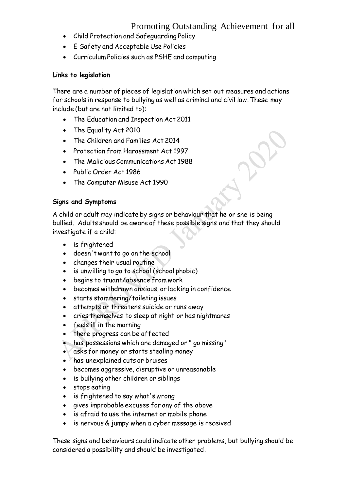- Child Protection and Safeguarding Policy
- E Safety and Acceptable Use Policies
- Curriculum Policies such as PSHE and computing

#### **Links to legislation**

There are a number of pieces of legislation which set out measures and actions for schools in response to bullying as well as criminal and civil law. These may include (but are not limited to):

- The Education and Inspection Act 2011
- The Equality Act 2010
- The Children and Families Act 2014
- Protection from Harassment Act 1997
- The Malicious Communications Act 1988
- Public Order Act 1986
- The Computer Misuse Act 1990

#### **Signs and Symptoms**

A child or adult may indicate by signs or behaviour that he or she is being bullied. Adults should be aware of these possible signs and that they should investigate if a child:

- is frightened
- doesn't want to go on the school
- changes their usual routine
- is unwilling to go to school (school phobic)
- begins to truant/absence from work
- becomes withdrawn anxious, or lacking in confidence
- starts stammering/toileting issues
- attempts or threatens suicide or runs away
- cries themselves to sleep at night or has nightmares
- feels ill in the morning
- there progress can be affected
- has possessions which are damaged or " go missing"
- asks for money or starts stealing money
- Thas unexplained cuts or bruises
- becomes aggressive, disruptive or unreasonable
- is bullying other children or siblings
- stops eating
- is frightened to say what's wrong
- gives improbable excuses for any of the above
- is afraid to use the internet or mobile phone
- is nervous & jumpy when a cyber message is received

These signs and behaviours could indicate other problems, but bullying should be considered a possibility and should be investigated.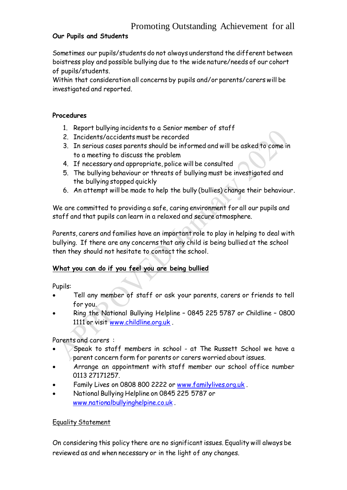#### **Our Pupils and Students**

Sometimes our pupils/students do not always understand the different between boistress play and possible bullying due to the wide nature/needs of our cohort of pupils/students.

Within that consideration all concerns by pupils and/or parents/carers will be investigated and reported.

#### **Procedures**

- 1. Report bullying incidents to a Senior member of staff
- 2. Incidents/accidents must be recorded
- 3. In serious cases parents should be informed and will be asked to come in to a meeting to discuss the problem
- 4. If necessary and appropriate, police will be consulted
- 5. The bullying behaviour or threats of bullying must be investigated and the bullying stopped quickly
- 6. An attempt will be made to help the bully (bullies) change their behaviour.

We are committed to providing a safe, caring environment for all our pupils and staff and that pupils can learn in a relaxed and secure atmosphere.

Parents, carers and families have an important role to play in helping to deal with bullying. If there are any concerns that any child is being bullied at the school then they should not hesitate to contact the school.

#### **What you can do if you feel you are being bullied**

Pupils:

- Tell any member of staff or ask your parents, carers or friends to tell for you.
- Ring the National Bullying Helpline 0845 225 5787 or Childline 0800 1111 or visit [www.childline.org.uk](http://www.childline.org.uk/) .

Parents and carers :

- Speak to staff members in school at The Russett School we have a parent concern form for parents or carers worried about issues.
- Arrange an appointment with staff member our school office number 0113 27171257.
- Family Lives on 0808 800 2222 or [www.familylives.org.uk](http://www.familylives.org.uk/).
- National Bullying Helpline on 0845 225 5787 or [www.nationalbullyinghelpine.co.uk](http://www.nationalbullyinghelpine.co.uk/) .

#### Equality Statement

On considering this policy there are no significant issues. Equality will always be reviewed as and when necessary or in the light of any changes.